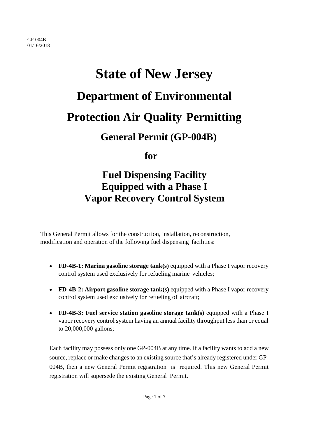# **State of New Jersey Department of Environmental Protection Air Quality Permitting**

## **General Permit (GP-004B)**

 **for**

## **Fuel Dispensing Facility Equipped with a Phase I Vapor Recovery Control System**

This General Permit allows for the construction, installation, reconstruction, modification and operation of the following fuel dispensing facilities:

- **FD-4B-1: Marina gasoline storage tank(s)** equipped with a Phase I vapor recovery control system used exclusively for refueling marine vehicles;
- **FD-4B-2: Airport gasoline storage tank(s)** equipped with a Phase I vapor recovery control system used exclusively for refueling of aircraft;
- **FD-4B-3: Fuel service station gasoline storage tank(s)** equipped with a Phase I vapor recovery control system having an annual facility throughput less than or equal to 20,000,000 gallons;

Each facility may possess only one GP-004B at any time. If a facility wants to add a new source, replace or make changes to an existing source that's already registered under GP-004B, then a new General Permit registration is required. This new General Permit registration will supersede the existing General Permit.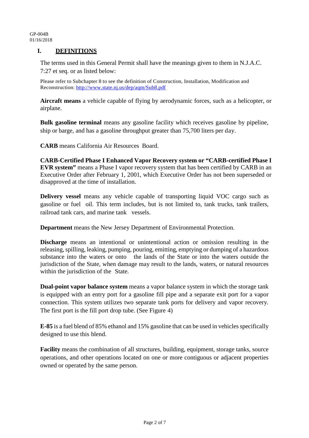#### **I. DEFINITIONS**

The terms used in this General Permit shall have the meanings given to them in N.J.A.C. 7:27 et seq. or as listed below:

Please refer to Subchapter 8 to see the definition of Construction, Installation, Modification and Reconstruction:<http://www.state.nj.us/dep/aqm/Sub8.pdf>

**Aircraft means** a vehicle capable of flying by aerodynamic forces, such as a helicopter, or airplane.

**Bulk gasoline terminal** means any gasoline facility which receives gasoline by pipeline, ship or barge, and has a gasoline throughput greater than 75,700 liters per day.

**CARB** means California Air Resources Board.

**CARB-Certified Phase I Enhanced Vapor Recovery system or "CARB-certified Phase I EVR system"** means a Phase I vapor recovery system that has been certified by CARB in an Executive Order after February 1, 2001, which Executive Order has not been superseded or disapproved at the time of installation.

**Delivery vessel** means any vehicle capable of transporting liquid VOC cargo such as gasoline or fuel oil. This term includes, but is not limited to, tank trucks, tank trailers, railroad tank cars, and marine tank vessels.

**Department** means the New Jersey Department of Environmental Protection.

**Discharge** means an intentional or unintentional action or omission resulting in the releasing, spilling, leaking, pumping, pouring, emitting, emptying or dumping of a hazardous substance into the waters or onto the lands of the State or into the waters outside the jurisdiction of the State, when damage may result to the lands, waters, or natural resources within the jurisdiction of the State.

**Dual-point vapor balance system** means a vapor balance system in which the storage tank is equipped with an entry port for a gasoline fill pipe and a separate exit port for a vapor connection. This system utilizes two separate tank ports for delivery and vapor recovery. The first port is the fill port drop tube. (See Figure 4)

**E-85** is a fuel blend of 85% ethanol and 15% gasoline that can be used in vehicles specifically designed to use this blend.

**Facility** means the combination of all structures, building, equipment, storage tanks, source operations, and other operations located on one or more contiguous or adjacent properties owned or operated by the same person.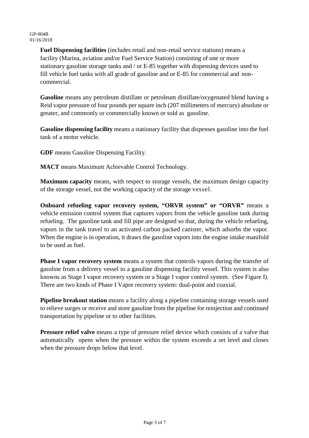**Fuel Dispensing facilities** (includes retail and non-retail service stations) means a facility (Marina, aviation and/or Fuel Service Station) consisting of one or more stationary gasoline storage tanks and / or E-85 together with dispensing devices used to fill vehicle fuel tanks with all grade of gasoline and or E-85 for commercial and noncommercial.

**Gasoline** means any petroleum distillate or petroleum distillate/oxygenated blend having a Reid vapor pressure of four pounds per square inch (207 millimeters of mercury) absolute or greater, and commonly or commercially known or sold as gasoline.

**Gasoline dispensing facility** means a stationary facility that dispenses gasoline into the fuel tank of a motor vehicle.

**GDF** means Gasoline Dispensing Facility.

**MACT** means Maximum Achievable Control Technology.

**Maximum capacity** means, with respect to storage vessels, the maximum design capacity of the storage vessel, not the working capacity of the storage vessel.

**Onboard refueling vapor recovery system, "ORVR system" or "ORVR"** means a vehicle emission control system that captures vapors from the vehicle gasoline tank during refueling. The gasoline tank and fill pipe are designed so that, during the vehicle refueling, vapors in the tank travel to an activated carbon packed canister, which adsorbs the vapor. When the engine is in operation, it draws the gasoline vapors into the engine intake manifold to be used as fuel.

**Phase I vapor recovery system** means a system that controls vapors during the transfer of gasoline from a delivery vessel to a gasoline dispensing facility vessel. This system is also knowns as Stage I vapor recovery system or a Stage I vapor control system. (See Figure I). There are two kinds of Phase I Vapor recovery system: dual-point and coaxial.

**Pipeline breakout station** means a facility along a pipeline containing storage vessels used to relieve surges or receive and store gasoline from the pipeline for reinjection and continued transportation by pipeline or to other facilities.

**Pressure relief valve** means a type of pressure relief device which consists of a valve that automatically opens when the pressure within the system exceeds a set level and closes when the pressure drops below that level.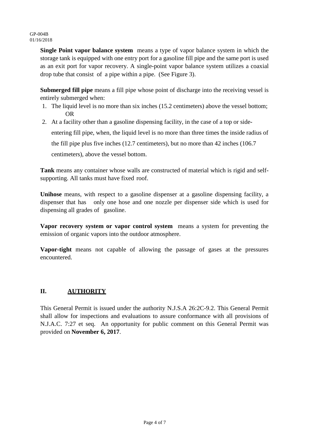**Single Point vapor balance system** means a type of vapor balance system in which the storage tank is equipped with one entry port for a gasoline fill pipe and the same port is used as an exit port for vapor recovery. A single-point vapor balance system utilizes a coaxial drop tube that consist of a pipe within a pipe. (See Figure 3).

**Submerged fill pipe** means a fill pipe whose point of discharge into the receiving vessel is entirely submerged when:

- 1. The liquid level is no more than six inches (15.2 centimeters) above the vessel bottom; OR
- 2. At a facility other than a gasoline dispensing facility, in the case of a top or sideentering fill pipe, when, the liquid level is no more than three times the inside radius of the fill pipe plus five inches (12.7 centimeters), but no more than 42 inches (106.7 centimeters), above the vessel bottom.

**Tank** means any container whose walls are constructed of material which is rigid and selfsupporting. All tanks must have fixed roof.

**Unihose** means, with respect to a gasoline dispenser at a gasoline dispensing facility, a dispenser that has only one hose and one nozzle per dispenser side which is used for dispensing all grades of gasoline.

**Vapor recovery system or vapor control system** means a system for preventing the emission of organic vapors into the outdoor atmosphere.

**Vapor-tight** means not capable of allowing the passage of gases at the pressures encountered.

### **II. AUTHORITY**

This General Permit is issued under the authority N.J.S.A 26:2C-9.2. This General Permit shall allow for inspections and evaluations to assure conformance with all provisions of N.J.A.C. 7:27 et seq. An opportunity for public comment on this General Permit was provided on **November 6, 2017**.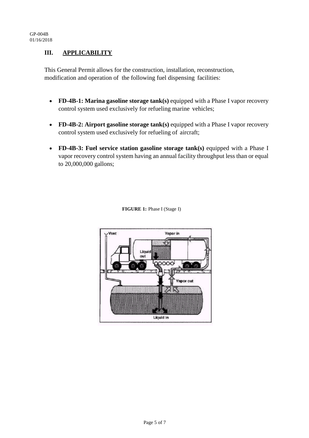#### **III. APPLICABILITY**

This General Permit allows for the construction, installation, reconstruction, modification and operation of the following fuel dispensing facilities:

- **FD-4B-1: Marina gasoline storage tank(s)** equipped with a Phase I vapor recovery control system used exclusively for refueling marine vehicles;
- **FD-4B-2: Airport gasoline storage tank(s)** equipped with a Phase I vapor recovery control system used exclusively for refueling of aircraft;
- **FD-4B-3: Fuel service station gasoline storage tank(s)** equipped with a Phase I vapor recovery control system having an annual facility throughput less than or equal to 20,000,000 gallons;



 **FIGURE 1:** Phase I (Stage I)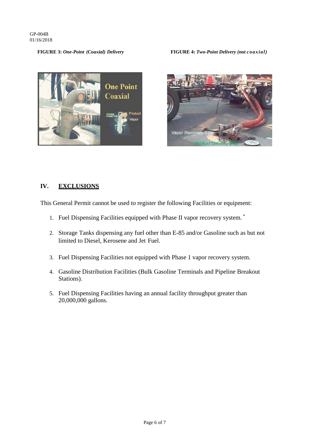#### **FIGURE 3:** *One-Point (Coaxial) Delivery* **FIGURE 4:** *Two-Point Delivery (not coaxial)*





#### **IV. EXCLUSIONS**

This General Permit cannot be used to register the following Facilities or equipment:

- 1. Fuel Dispensing Facilities equipped with Phase II vapor recovery system. \*
- 2. Storage Tanks dispensing any fuel other than E-85 and/or Gasoline such as but not limited to Diesel, Kerosene and Jet Fuel.
- 3. Fuel Dispensing Facilities not equipped with Phase 1 vapor recovery system.
- 4. Gasoline Distribution Facilities (Bulk Gasoline Terminals and Pipeline Breakout Stations).
- 5. Fuel Dispensing Facilities having an annual facility throughput greater than 20,000,000 gallons.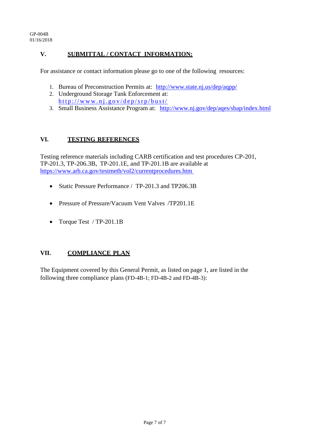#### **V. SUBMITTAL / CONTACT INFORMATION:**

For assistance or contact information please go to one of the following resources:

- 1. Bureau of Preconstruction Permits at: [http://www.state.nj.us/dep/aqpp/](http://www.nj.gov/dep/aqpp/)
- 2. Underground Storage Tank Enforcement at: <http://www.nj.gov/dep/srp/bust/>
- 3. Small Business Assistance Program at: <http://www.nj.gov/dep/aqes/sbap/index.html>

#### **VI. TESTING REFERENCES**

Testing reference materials including CARB certification and test procedures CP-201, TP-201.3, TP-206.3B, TP-201.1E, and TP-201.1B are available at [https://www.arb.ca.gov/testmeth/vol2/currentprocedures.htm](http://www.arb.ca.gov/testmeth/vol2/tp201_3.pdf) 

- Static Pressure Performance / TP-201.3 and TP206.3B
- Pressure of Pressure/Vacuum Vent Valves /TP201.1E
- Torque Test / TP-201.1B

#### **VII. COMPLIANCE PLAN**

The Equipment covered by this General Permit, as listed on page 1, are listed in the following three compliance plans (FD-4B-1; FD-4B-2 and FD-4B-3):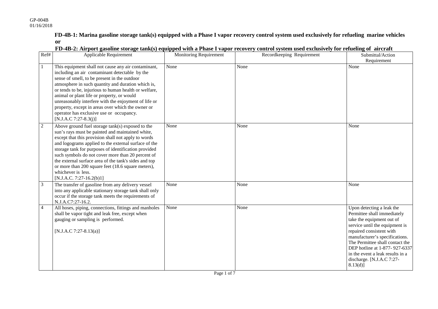4 All hoses, piping, connections, fittings and manholes shall be vapor tight and leak free, except when

gauging or sampling is performed.

[N.J.A.C 7:27-8.13(a)]

**FD-4B-1: Marina gasoline storage tank(s) equipped with a Phase I vapor recovery control system used exclusively for refueling marine vehicles or**

| Ref# | <b>Applicable Requirement</b>                                                                                                                                                                                                                                                                                                                                                                                                                                                                          | Monitoring Requirement | Recordkeeping Requirement | Submittal/Action<br>Requirement |
|------|--------------------------------------------------------------------------------------------------------------------------------------------------------------------------------------------------------------------------------------------------------------------------------------------------------------------------------------------------------------------------------------------------------------------------------------------------------------------------------------------------------|------------------------|---------------------------|---------------------------------|
|      | This equipment shall not cause any air contaminant,<br>including an air contaminant detectable by the<br>sense of smell, to be present in the outdoor<br>atmosphere in such quantity and duration which is,<br>or tends to be, injurious to human health or welfare,<br>animal or plant life or property, or would<br>unreasonably interfere with the enjoyment of life or<br>property, except in areas over which the owner or<br>operator has exclusive use or occupancy.<br>$[N.J.A.C.7:27-8.3(j)]$ | None                   | None                      | None                            |
| 2    | Above ground fuel storage tank(s) exposed to the<br>sun's rays must be painted and maintained white,<br>except that this provision shall not apply to words<br>and logograms applied to the external surface of the<br>storage tank for purposes of identification provided<br>such symbols do not cover more than 20 percent of<br>the external surface area of the tank's sides and top<br>or more than 200 square feet (18.6 square meters),<br>whichever is less.<br>$[N.J.A.C. 7:27-16.2(b)1]$    | None                   | None                      | None                            |
| 3    | The transfer of gasoline from any delivery vessel<br>into any applicable stationary storage tank shall only<br>occur if the storage tank meets the requirements of<br>N.J.A.C7:27-16.2.                                                                                                                                                                                                                                                                                                                | None                   | None                      | None                            |

#### **FD-4B-2: Airport gasoline storage tank(s) equipped with a Phase I vapor recovery control system used exclusively for refueling of aircraft**

None Upon detecting a leak the

Permittee shall immediately take the equipment out of service until the equipment is repaired consistent with manufacturer's specifications. The Permittee shall contact the DEP hotline at 1-877- 927-6337 in the event a leak results in a discharge. [N.J.A.C 7:27-

8.13(d)]

None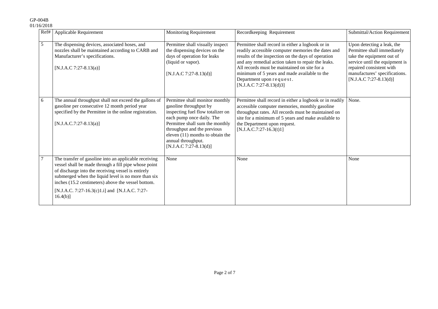| Ref# | Applicable Requirement                                                                                                                                                                                                                                                                                                                            | Monitoring Requirement                                                                                                                                                                                                                                                              | Recordkeeping Requirement                                                                                                                                                                                                                                                                                                                                                   | Submittal/Action Requirement                                                                                                                                                                                      |
|------|---------------------------------------------------------------------------------------------------------------------------------------------------------------------------------------------------------------------------------------------------------------------------------------------------------------------------------------------------|-------------------------------------------------------------------------------------------------------------------------------------------------------------------------------------------------------------------------------------------------------------------------------------|-----------------------------------------------------------------------------------------------------------------------------------------------------------------------------------------------------------------------------------------------------------------------------------------------------------------------------------------------------------------------------|-------------------------------------------------------------------------------------------------------------------------------------------------------------------------------------------------------------------|
| 5    | The dispensing devices, associated hoses, and<br>nozzles shall be maintained according to CARB and<br>Manufacturer's specifications.<br>$[N.J.A.C 7:27-8.13(a)]$                                                                                                                                                                                  | Permittee shall visually inspect<br>the dispensing devices on the<br>days of operation for leaks<br>(liquid or vapor).<br>$[N.J.A.C 7:27-8.13(d)]$                                                                                                                                  | Permittee shall record in either a logbook or in<br>readily accessible computer memories the dates and<br>results of the inspection on the days of operation<br>and any remedial action taken to repair the leaks.<br>All records must be maintained on site for a<br>minimum of 5 years and made available to the<br>Department upon request.<br>$[N.J.A.C 7:27-8.13(d)3]$ | Upon detecting a leak, the<br>Permittee shall immediately<br>take the equipment out of<br>service until the equipment is<br>repaired consistent with<br>manufactures' specifications.<br>$[N.J.A.C 7:27-8.13(d)]$ |
| 6    | The annual throughput shall not exceed the gallons of<br>gasoline per consecutive 12 month period year<br>specified by the Permittee in the online registration.<br>$[N.J.A.C.7:27-8.13(a)]$                                                                                                                                                      | Permittee shall monitor monthly<br>gasoline throughput by<br>inspecting fuel flow totalizer on<br>each pump once daily. The<br>Permittee shall sum the monthly<br>throughput and the previous<br>eleven (11) months to obtain the<br>annual throughput.<br>$[N.J.A.C 7:27-8.13(d)]$ | Permittee shall record in either a logbook or in readily<br>accessible computer memories, monthly gasoline<br>throughput rates. All records must be maintained on<br>site for a minimum of 5 years and make available to<br>the Department upon request.<br>$[N.J.A.C.7:27-16.3(t)1]$                                                                                       | None.                                                                                                                                                                                                             |
|      | The transfer of gasoline into an applicable receiving<br>vessel shall be made through a fill pipe whose point<br>of discharge into the receiving vessel is entirely<br>submerged when the liquid level is no more than six<br>inches (15.2 centimeters) above the vessel bottom.<br>[N.J.A.C. 7:27-16.3(c)1.i] and [N.J.A.C. 7:27-<br>$16.4(b)$ ] | None                                                                                                                                                                                                                                                                                | None                                                                                                                                                                                                                                                                                                                                                                        | None                                                                                                                                                                                                              |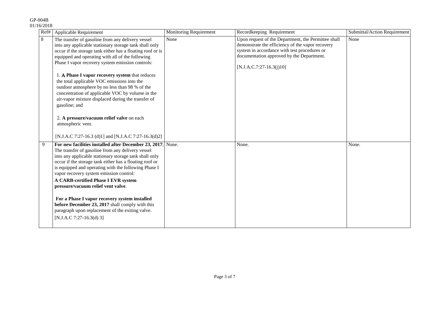#### Ref# Applicable Requirement Monitoring Requirement Recordkeeping Requirement Submittal/Action Requirement 8 The transfer of gasoline from any delivery vessel into any applicable stationary storage tank shall only occur if the storage tank either has a floating roof or is equipped and operating with all of the following Phase I vapor recovery system emission controls: 1. Α **Phase I vapor recovery system** that reduces the total applicable VOC emissions into the outdoor atmosphere by no less than 98 % of the concentration of applicable VOC by volume in the air-vapor mixture displaced during the transfer of gasoline; and 2. **A pressure/vacuum relief valve** on each atmospheric vent. [N.J.A.C 7:27-16.3 (d)1] and [N.J.A.C 7:27-16.3(d)2] None Upon request of the Department, the Permittee shall demonstrate the efficiency of the vapor recovery system in accordance with test procedures or documentation approved by the Department.  $[N.J.A.C.7:27-16.3(j)10]$ None 9 **For new facilities installed after December 23, 2017**; The transfer of gasoline from any delivery vessel into any applicable stationary storage tank shall only occur if the storage tank either has a floating roof or is equipped and operating with the following Phase I vapor recovery system emission control: **A CARB-certified Phase I EVR system pressure/vacuum relief vent valve**. **For a Phase I vapor recovery system installed before December 23, 2017** shall comply with this paragraph upon replacement of the exiting valve. [N.J.A.C 7:27-16.3(d) 3] None. None. None. None.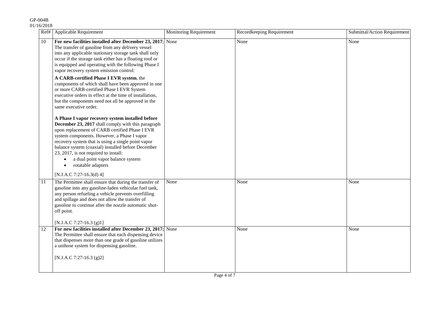#### Ref# | Applicable Requirement | Monitoring Requirement | Recordkeeping Requirement | Submittal/Action Requirement 10 **For new facilities installed after December 23, 2017**; The transfer of gasoline from any delivery vessel into any applicable stationary storage tank shall only occur if the storage tank either has a floating roof or is equipped and operating with the following Phase I vapor recovery system emission control: **A CARB-certified Phase I EVR system**, the components of which shall have been approved in one or more CARB-certified Phase I EVR System executive orders in effect at the time of installation, but the components need not all be approved in the same executive order. **A Phase I vapor recovery system installed before December 23, 2017** shall comply with this paragraph upon replacement of CARB certified Phase I EVR system components. However, a Phase I vapor recovery system that is using a single point vapor balance system (coaxial) installed before December 23, 2017, is not required to install: • a dual point vapor balance system • rotatable adapters [N.J.A.C 7:27-16.3(d) 4] None None None None None 11 The Permittee shall ensure that during the transfer of gasoline into any gasoline-laden vehicular fuel tank, any person refueling a vehicle prevents overfilling and spillage and does not allow the transfer of gasoline to continue after the nozzle automatic shutoff point. [N.J.A.C 7:27-16.3 (g)1] None None None None 12 **For new facilities installed after December 23, 2017;** The Permittee shall ensure that each dispensing device that dispenses more than one grade of gasoline utilizes a unihose system for dispensing gasoline. [N.J.A.C 7:27-16.3 (g)2] None None None None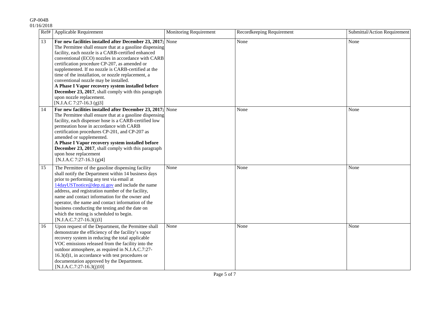|    | Ref#   Applicable Requirement                                                                                                                                                                                                                                                                                                                                                                                                                                                                                                                                                                                   | <b>Monitoring Requirement</b> | Recordkeeping Requirement | Submittal/Action Requirement |
|----|-----------------------------------------------------------------------------------------------------------------------------------------------------------------------------------------------------------------------------------------------------------------------------------------------------------------------------------------------------------------------------------------------------------------------------------------------------------------------------------------------------------------------------------------------------------------------------------------------------------------|-------------------------------|---------------------------|------------------------------|
| 13 | For new facilities installed after December $23, 2017$ ; None<br>The Permittee shall ensure that at a gasoline dispensing<br>facility, each nozzle is a CARB-certified enhanced<br>conventional (ECO) nozzles in accordance with CARB<br>certification procedure CP-207, as amended or<br>supplemented. If no nozzle is CARB-certified at the<br>time of the installation, or nozzle replacement, a<br>conventional nozzle may be installed.<br>A Phase I Vapor recovery system installed before<br>December 23, 2017, shall comply with this paragraph<br>upon nozzle replacement.<br>[N.J.A.C 7:27-16.3 (g)3] |                               | None                      | None                         |
| 14 | For new facilities installed after December 23, 2017; None<br>The Permittee shall ensure that at a gasoline dispensing<br>facility, each dispenser hose is a CARB-certified low<br>permeation hose in accordance with CARB<br>certification procedures CP-201, and CP-207 as<br>amended or supplemented.<br>A Phase I Vapor recovery system installed before<br>December 23, 2017, shall comply with this paragraph<br>upon hose replacement<br>[N.J.A.C 7:27-16.3 (g)4]                                                                                                                                        |                               | None                      | None                         |
| 15 | The Permittee of the gasoline dispensing facility<br>shall notify the Department within 14 business days<br>prior to performing any test via email at<br>14dayUSTnotice@dep.nj.gov and include the name<br>address, and registration number of the facility,<br>name and contact information for the owner and<br>operator, the name and contact information of the<br>business conducting the testing and the date on<br>which the testing is scheduled to begin.<br>$[N.J.A.C.7:27-16.3(j)3]$                                                                                                                 | None                          | None                      | None                         |
| 16 | Upon request of the Department, the Permittee shall<br>demonstrate the efficiency of the facility's vapor<br>recovery system in reducing the total applicable<br>VOC emissions released from the facility into the<br>outdoor atmosphere, as required in N.J.A.C.7:27-<br>$16.3(d)1$ , in accordance with test procedures or<br>documentation approved by the Department.<br>$[N.J.A.C.7:27-16.3(j)10]$                                                                                                                                                                                                         | None                          | None                      | None                         |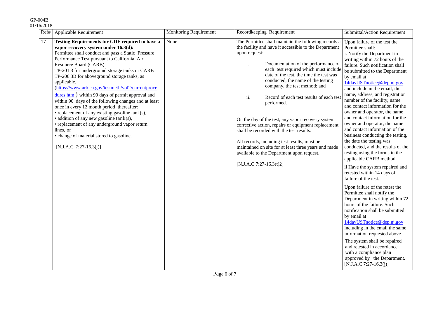|    | Ref#   Applicable Requirement                                                                                                                                                                                                                                                                                                                                                                                                                                                                                                                                                                                                                                                                                                                                                                                | <b>Monitoring Requirement</b> | Recordkeeping Requirement                                                                                                                                                                                                                                                                                                                                                                                                                                                                                                                                                                                                                                                                                                                                                     | Submittal/Action Requirement                                                                                                                                                                                                                                                                                                                                                                                                                                                                                                                                                                                                                                                                                                                                                                                                                                                                                                                                                                                                                                                                                                                                                     |
|----|--------------------------------------------------------------------------------------------------------------------------------------------------------------------------------------------------------------------------------------------------------------------------------------------------------------------------------------------------------------------------------------------------------------------------------------------------------------------------------------------------------------------------------------------------------------------------------------------------------------------------------------------------------------------------------------------------------------------------------------------------------------------------------------------------------------|-------------------------------|-------------------------------------------------------------------------------------------------------------------------------------------------------------------------------------------------------------------------------------------------------------------------------------------------------------------------------------------------------------------------------------------------------------------------------------------------------------------------------------------------------------------------------------------------------------------------------------------------------------------------------------------------------------------------------------------------------------------------------------------------------------------------------|----------------------------------------------------------------------------------------------------------------------------------------------------------------------------------------------------------------------------------------------------------------------------------------------------------------------------------------------------------------------------------------------------------------------------------------------------------------------------------------------------------------------------------------------------------------------------------------------------------------------------------------------------------------------------------------------------------------------------------------------------------------------------------------------------------------------------------------------------------------------------------------------------------------------------------------------------------------------------------------------------------------------------------------------------------------------------------------------------------------------------------------------------------------------------------|
| 17 | Testing Requirements for GDF required to have a<br>vapor recovery system under 16.3(d):<br>Permittee shall conduct and pass a Static Pressure<br>Performance Test pursuant to California Air<br>Resource Board (CARB)<br>TP-201.3 for underground storage tanks or CARB<br>TP-206.3B for aboveground storage tanks, as<br>applicable.<br>(https://www.arb.ca.gov/testmeth/vol2/currentproce<br>$\frac{dures.htm}{du}$ within 90 days of permit approval and<br>within 90 days of the following changes and at least<br>once in every 12 month period thereafter:<br>• replacement of any existing gasoline tank(s),<br>$\bullet$ addition of any new gasoline tank(s),<br>• replacement of any underground vapor return<br>lines, or<br>• change of material stored to gasoline.<br>$[N.J.A.C 7:27-16.3(j)]$ | None                          | The Permittee shall maintain the following records at Upon failure of the test the<br>the facility and have it accessible to the Department<br>upon request:<br>i.<br>Documentation of the performance of<br>each test required which must include<br>date of the test, the time the test was<br>conducted, the name of the testing<br>company, the test method; and<br>ii.<br>Record of each test results of each test<br>performed.<br>On the day of the test, any vapor recovery system<br>corrective action, repairs or equipment replacement<br>shall be recorded with the test results.<br>All records, including test results, must be<br>maintained on site for at least three years and made<br>available to the Department upon request.<br>[N.J.A.C 7:27-16.3(t)2] | Permittee shall:<br>i. Notify the Department in<br>writing within 72 hours of the<br>failure. Such notification shall<br>be submitted to the Department<br>by email at<br>14dayUSTnotice@dep.nj.gov<br>and include in the email, the<br>name, address, and registration<br>number of the facility, name<br>and contact information for the<br>owner and operator, the name<br>and contact information for the<br>owner and operator, the name<br>and contact information of the<br>business conducting the testing,<br>the date the testing was<br>conducted, and the results of the<br>testing using the forms in the<br>applicable CARB method.<br>ii Have the system repaired and<br>retested within 14 days of<br>failure of the test.<br>Upon failure of the retest the<br>Permittee shall notify the<br>Department in writing within 72<br>hours of the failure. Such<br>notification shall be submitted<br>by email at<br>14dayUSTnotice@dep.nj.gov<br>including in the email the same<br>information requested above.<br>The system shall be repaired<br>and retested in accordance<br>with a compliance plan<br>approved by the Department.<br>$[N.J.A.C 7:27-16.3(j)]$ |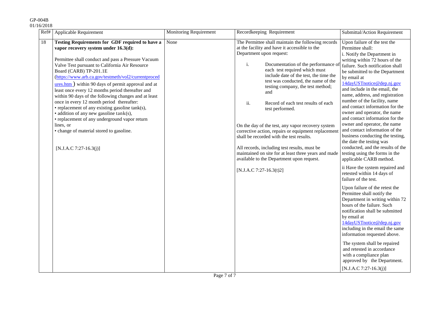| 01/16/2018 |  |
|------------|--|
|            |  |

| Ref# | Applicable Requirement                                                                                                                                                                                                                                                                                                                                                                                                                                                                                                                                                                                                                                                                                                               | Monitoring Requirement | Recordkeeping Requirement                                                                                                                                                                                                                                                                                                                                                                                                                                                                                                                                                                                                                                                                                                                         | Submittal/Action Requirement                                                                                                                                                                                                                                                                                                                                                                                                                                                                                                                                                                                                                                                                                                                                                                                                                                                                                                                                                                                                                                                                                                                                                                                     |
|------|--------------------------------------------------------------------------------------------------------------------------------------------------------------------------------------------------------------------------------------------------------------------------------------------------------------------------------------------------------------------------------------------------------------------------------------------------------------------------------------------------------------------------------------------------------------------------------------------------------------------------------------------------------------------------------------------------------------------------------------|------------------------|---------------------------------------------------------------------------------------------------------------------------------------------------------------------------------------------------------------------------------------------------------------------------------------------------------------------------------------------------------------------------------------------------------------------------------------------------------------------------------------------------------------------------------------------------------------------------------------------------------------------------------------------------------------------------------------------------------------------------------------------------|------------------------------------------------------------------------------------------------------------------------------------------------------------------------------------------------------------------------------------------------------------------------------------------------------------------------------------------------------------------------------------------------------------------------------------------------------------------------------------------------------------------------------------------------------------------------------------------------------------------------------------------------------------------------------------------------------------------------------------------------------------------------------------------------------------------------------------------------------------------------------------------------------------------------------------------------------------------------------------------------------------------------------------------------------------------------------------------------------------------------------------------------------------------------------------------------------------------|
| 18   | Testing Requirements for GDF required to have a<br>vapor recovery system under 16.3(d):<br>Permittee shall conduct and pass a Pressure Vacuum<br>Valve Test pursuant to California Air Resource<br>Board (CARB) TP-201.1E<br>(https://www.arb.ca.gov/testmeth/vol2/currentproced<br>$ures.htm$ ) within 90 days of permit approval and at<br>least once every 12 months period thereafter and<br>within 90 days of the following changes and at least<br>once in every 12 month period thereafter:<br>• replacement of any existing gasoline tank(s),<br>• addition of any new gasoline tank(s),<br>• replacement of any underground vapor return<br>lines, or<br>• change of material stored to gasoline.<br>[N.J.A.C 7:27-16.3(j)] | None                   | The Permittee shall maintain the following records<br>at the facility and have it accessible to the<br>Department upon request:<br>i.<br>Documentation of the performance o<br>each test required which must<br>include date of the test, the time the<br>test was conducted, the name of the<br>testing company, the test method;<br>and<br>ii.<br>Record of each test results of each<br>test performed.<br>On the day of the test, any vapor recovery system<br>corrective action, repairs or equipment replacemen<br>shall be recorded with the test results.<br>All records, including test results, must be<br>maintained on site for at least three years and made<br>available to the Department upon request.<br>[N.J.A.C 7:27-16.3(t)2] | Upon failure of the test the<br>Permittee shall:<br>i. Notify the Department in<br>writing within 72 hours of the<br>failure. Such notification shall<br>be submitted to the Department<br>by email at<br>14dayUSTnotice@dep.nj.gov<br>and include in the email, the<br>name, address, and registration<br>number of the facility, name<br>and contact information for the<br>owner and operator, the name<br>and contact information for the<br>owner and operator, the name<br>and contact information of the<br>business conducting the testing,<br>the date the testing was<br>conducted, and the results of the<br>testing using the forms in the<br>applicable CARB method.<br>ii Have the system repaired and<br>retested within 14 days of<br>failure of the test.<br>Upon failure of the retest the<br>Permittee shall notify the<br>Department in writing within 72<br>hours of the failure. Such<br>notification shall be submitted<br>by email at<br>14dayUSTnotice@dep.nj.gov<br>including in the email the same<br>information requested above.<br>The system shall be repaired<br>and retested in accordance<br>with a compliance plan<br>approved by the Department.<br>$[N.J.A.C 7:27-16.3(i)]$ |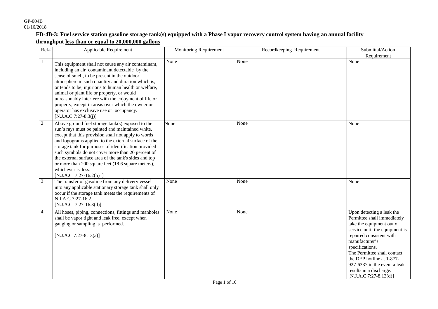#### **FD-4B-3: Fuel service station gasoline storage tank(s) equipped with a Phase I vapor recovery control system having an annual facility throughput less than or equal to 20,000,000 gallons**

| Ref#           | <b>Applicable Requirement</b>                                                                                                                                                                                                                                                                                                                                                                                                                                                                        | <b>Monitoring Requirement</b> | Recordkeeping Requirement | Submittal/Action<br>Requirement                                                                                                                                                                                                                                                                                                           |
|----------------|------------------------------------------------------------------------------------------------------------------------------------------------------------------------------------------------------------------------------------------------------------------------------------------------------------------------------------------------------------------------------------------------------------------------------------------------------------------------------------------------------|-------------------------------|---------------------------|-------------------------------------------------------------------------------------------------------------------------------------------------------------------------------------------------------------------------------------------------------------------------------------------------------------------------------------------|
| 1              | This equipment shall not cause any air contaminant,<br>including an air contaminant detectable by the<br>sense of smell, to be present in the outdoor<br>atmosphere in such quantity and duration which is,<br>or tends to be, injurious to human health or welfare,<br>animal or plant life or property, or would<br>unreasonably interfere with the enjoyment of life or<br>property, except in areas over which the owner or<br>operator has exclusive use or occupancy.<br>[N.J.A.C 7:27-8.3(j)] | None                          | None                      | None                                                                                                                                                                                                                                                                                                                                      |
| $\overline{2}$ | Above ground fuel storage tank(s) exposed to the<br>sun's rays must be painted and maintained white,<br>except that this provision shall not apply to words<br>and logograms applied to the external surface of the<br>storage tank for purposes of identification provided<br>such symbols do not cover more than 20 percent of<br>the external surface area of the tank's sides and top<br>or more than 200 square feet (18.6 square meters),<br>whichever is less.<br>$[N.J.A.C. 7:27-16.2(b)1]$  | None                          | None                      | None                                                                                                                                                                                                                                                                                                                                      |
| $\overline{3}$ | The transfer of gasoline from any delivery vessel<br>into any applicable stationary storage tank shall only<br>occur if the storage tank meets the requirements of<br>N.J.A.C.7:27-16.2.<br>$[N.J.A.C. 7:27-16.3(d)]$                                                                                                                                                                                                                                                                                | None                          | None                      | None                                                                                                                                                                                                                                                                                                                                      |
| $\overline{4}$ | All hoses, piping, connections, fittings and manholes<br>shall be vapor tight and leak free, except when<br>gauging or sampling is performed.<br>[N.J.A.C 7:27-8.13(a)]                                                                                                                                                                                                                                                                                                                              | None                          | None                      | Upon detecting a leak the<br>Permittee shall immediately<br>take the equipment out of<br>service until the equipment is<br>repaired consistent with<br>manufacturer's<br>specifications.<br>The Permittee shall contact<br>the DEP hotline at 1-877-<br>927-6337 in the event a leak<br>results in a discharge.<br>[N.J.A.C 7:27-8.13(d)] |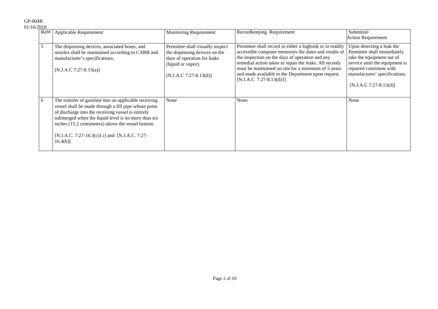| U/ZU10 |                                                                                                                                                                                                                                                                                                                                                   |                                                                                                                                                    |                                                                                                                                                                                                                                                                                                                                                                        |                                                                                                                                                                                                                |
|--------|---------------------------------------------------------------------------------------------------------------------------------------------------------------------------------------------------------------------------------------------------------------------------------------------------------------------------------------------------|----------------------------------------------------------------------------------------------------------------------------------------------------|------------------------------------------------------------------------------------------------------------------------------------------------------------------------------------------------------------------------------------------------------------------------------------------------------------------------------------------------------------------------|----------------------------------------------------------------------------------------------------------------------------------------------------------------------------------------------------------------|
| Ref#   | Applicable Requirement                                                                                                                                                                                                                                                                                                                            | <b>Monitoring Requirement</b>                                                                                                                      | Recordkeeping Requirement                                                                                                                                                                                                                                                                                                                                              | Submittal/<br><b>Action Requirement</b>                                                                                                                                                                        |
| 5      | The dispensing devices, associated hoses, and<br>nozzles shall be maintained according to CARB and<br>manufacturer's specifications.<br>[N.J.A.C 7:27-8.13(a)]                                                                                                                                                                                    | Permittee shall visually inspect<br>the dispensing devices on the<br>days of operation for leaks<br>(liquid or vapor).<br>$[N.J.A.C.7:27-8.13(d)]$ | Permittee shall record in either a logbook or in readily<br>accessible computer memories the dates and results of<br>the inspection on the days of operation and any<br>remedial action taken to repair the leaks. All records<br>must be maintained on site for a minimum of 5 years<br>and made available to the Department upon request.<br>[N.J.A.C 7:27-8.13(d)3] | Upon detecting a leak the<br>Permittee shall immediately<br>take the equipment out of<br>service until the equipment is<br>repaired consistent with<br>manufactures' specifications.<br>[N.J.A.C 7:27-8.13(d)] |
| 6      | The transfer of gasoline into an applicable receiving<br>vessel shall be made through a fill pipe whose point<br>of discharge into the receiving vessel is entirely<br>submerged when the liquid level is no more than six<br>inches (15.2 centimeters) above the vessel bottom.<br>[N.J.A.C. 7:27-16.3(c)1.i] and [N.J.A.C. 7:27-<br>$16.4(b)$ ] | None                                                                                                                                               | None                                                                                                                                                                                                                                                                                                                                                                   | None                                                                                                                                                                                                           |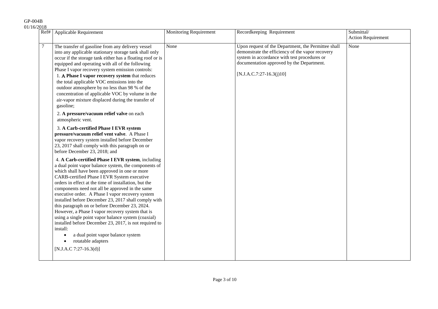| 01/16/2018 |                                                                                                                                                                                                                                                                                                                                                                                                                                                                                                                                                                                                                                                                                                                                 |                        |                                                                                                                                                                                                                                    |                                         |
|------------|---------------------------------------------------------------------------------------------------------------------------------------------------------------------------------------------------------------------------------------------------------------------------------------------------------------------------------------------------------------------------------------------------------------------------------------------------------------------------------------------------------------------------------------------------------------------------------------------------------------------------------------------------------------------------------------------------------------------------------|------------------------|------------------------------------------------------------------------------------------------------------------------------------------------------------------------------------------------------------------------------------|-----------------------------------------|
|            | Ref#   Applicable Requirement                                                                                                                                                                                                                                                                                                                                                                                                                                                                                                                                                                                                                                                                                                   | Monitoring Requirement | Recordkeeping Requirement                                                                                                                                                                                                          | Submittal/<br><b>Action Requirement</b> |
| $\tau$     | The transfer of gasoline from any delivery vessel<br>into any applicable stationary storage tank shall only<br>occur if the storage tank either has a floating roof or is<br>equipped and operating with all of the following<br>Phase I vapor recovery system emission controls:<br>1. A Phase I vapor recovery system that reduces<br>the total applicable VOC emissions into the<br>outdoor atmosphere by no less than 98 % of the<br>concentration of applicable VOC by volume in the<br>air-vapor mixture displaced during the transfer of<br>gasoline;                                                                                                                                                                    | None                   | Upon request of the Department, the Permittee shall<br>demonstrate the efficiency of the vapor recovery<br>system in accordance with test procedures or<br>documentation approved by the Department.<br>$[N.J.A.C.7:27-16.3(j)10]$ | None                                    |
|            | 2. A pressure/vacuum relief valve on each<br>atmospheric vent.                                                                                                                                                                                                                                                                                                                                                                                                                                                                                                                                                                                                                                                                  |                        |                                                                                                                                                                                                                                    |                                         |
|            | 3. A Carb-certified Phase I EVR system<br>pressure/vacuum relief vent valve. A Phase I<br>vapor recovery system installed before December<br>23, 2017 shall comply with this paragraph on or<br>before December 23, 2018; and                                                                                                                                                                                                                                                                                                                                                                                                                                                                                                   |                        |                                                                                                                                                                                                                                    |                                         |
|            | 4. A Carb-certified Phase I EVR system, including<br>a dual point vapor balance system, the components of<br>which shall have been approved in one or more<br>CARB-certified Phase I EVR System executive<br>orders in effect at the time of installation, but the<br>components need not all be approved in the same<br>executive order. A Phase I vapor recovery system<br>installed before December 23, 2017 shall comply with<br>this paragraph on or before December 23, 2024.<br>However, a Phase I vapor recovery system that is<br>using a single point vapor balance system (coaxial)<br>installed before December 23, 2017, is not required to<br>install:<br>a dual point vapor balance system<br>rotatable adapters |                        |                                                                                                                                                                                                                                    |                                         |
|            | [N.J.A.C 7:27-16.3(d)]                                                                                                                                                                                                                                                                                                                                                                                                                                                                                                                                                                                                                                                                                                          |                        |                                                                                                                                                                                                                                    |                                         |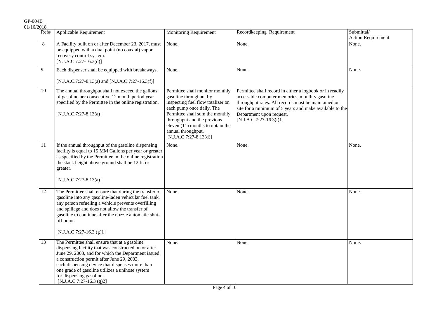| Ref# | Applicable Requirement                                                                                                                                                                                                                                                                                                                                                  | <b>Monitoring Requirement</b>                                                                                                                                                                                                                                                       | Recordkeeping Requirement                                                                                                                                                                                                                                                             | Submittal/<br><b>Action Requirement</b> |
|------|-------------------------------------------------------------------------------------------------------------------------------------------------------------------------------------------------------------------------------------------------------------------------------------------------------------------------------------------------------------------------|-------------------------------------------------------------------------------------------------------------------------------------------------------------------------------------------------------------------------------------------------------------------------------------|---------------------------------------------------------------------------------------------------------------------------------------------------------------------------------------------------------------------------------------------------------------------------------------|-----------------------------------------|
| 8    | A Facility built on or after December 23, 2017, must<br>be equipped with a dual point (no coaxial) vapor<br>recovery control system.<br>[N.J.A.C 7:27-16.3(d)]                                                                                                                                                                                                          | None.                                                                                                                                                                                                                                                                               | None.                                                                                                                                                                                                                                                                                 | None.                                   |
| 9    | Each dispenser shall be equipped with breakaways.<br>[N.J.A.C.7:27-8.13(a) and [N.J.A.C.7:27-16.3(f)]                                                                                                                                                                                                                                                                   | None.                                                                                                                                                                                                                                                                               | None.                                                                                                                                                                                                                                                                                 | None.                                   |
| 10   | The annual throughput shall not exceed the gallons<br>of gasoline per consecutive 12 month period year<br>specified by the Permittee in the online registration.<br>$[N.J.A.C.7:27-8.13(a)]$                                                                                                                                                                            | Permittee shall monitor monthly<br>gasoline throughput by<br>inspecting fuel flow totalizer on<br>each pump once daily. The<br>Permittee shall sum the monthly<br>throughput and the previous<br>eleven (11) months to obtain the<br>annual throughput.<br>$[N.J.A.C 7:27-8.13(d)]$ | Permittee shall record in either a logbook or in readily<br>accessible computer memories, monthly gasoline<br>throughput rates. All records must be maintained on<br>site for a minimum of 5 years and make available to the<br>Department upon request.<br>$[N.J.A.C.7:27-16.3(t)1]$ |                                         |
| 11   | If the annual throughput of the gasoline dispensing<br>facility is equal to 15 MM Gallons per year or greater<br>as specified by the Permittee in the online registration<br>the stack height above ground shall be 12 ft. or<br>greater.<br>$[N.J.A.C.7:27-8.13(a)]$                                                                                                   | None.                                                                                                                                                                                                                                                                               | None.                                                                                                                                                                                                                                                                                 | None.                                   |
| 12   | The Permittee shall ensure that during the transfer of<br>gasoline into any gasoline-laden vehicular fuel tank,<br>any person refueling a vehicle prevents overfilling<br>and spillage and does not allow the transfer of<br>gasoline to continue after the nozzle automatic shut-<br>off point.<br>[N.J.A.C 7:27-16.3 $(g)1$ ]                                         | None.                                                                                                                                                                                                                                                                               | None.                                                                                                                                                                                                                                                                                 | None.                                   |
| 13   | The Permittee shall ensure that at a gasoline<br>dispensing facility that was constructed on or after<br>June 29, 2003, and for which the Department issued<br>a construction permit after June 29, 2003,<br>each dispensing device that dispenses more than<br>one grade of gasoline utilizes a unihose system<br>for dispensing gasoline.<br>[N.J.A.C 7:27-16.3 (g)2] | None.                                                                                                                                                                                                                                                                               | None.                                                                                                                                                                                                                                                                                 | None.                                   |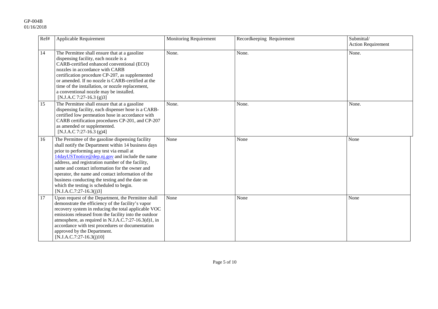| Ref# | Applicable Requirement                                                                                                                                                                                                                                                                                                                                                                                                                                                                          | Monitoring Requirement | Recordkeeping Requirement | Submittal/<br><b>Action Requirement</b> |
|------|-------------------------------------------------------------------------------------------------------------------------------------------------------------------------------------------------------------------------------------------------------------------------------------------------------------------------------------------------------------------------------------------------------------------------------------------------------------------------------------------------|------------------------|---------------------------|-----------------------------------------|
| 14   | The Permittee shall ensure that at a gasoline<br>dispensing facility, each nozzle is a<br>CARB-certified enhanced conventional (ECO)<br>nozzles in accordance with CARB<br>certification procedure CP-207, as supplemented<br>or amended. If no nozzle is CARB-certified at the<br>time of the installation, or nozzle replacement,<br>a conventional nozzle may be installed.<br>[N.J.A.C 7:27-16.3 (g)3]                                                                                      | None.                  | None.                     | None.                                   |
| 15   | The Permittee shall ensure that at a gasoline<br>dispensing facility, each dispenser hose is a CARB-<br>certified low permeation hose in accordance with<br>CARB certification procedures CP-201, and CP-207<br>as amended or supplemented.<br>[N.J.A.C 7:27-16.3 (g)4]                                                                                                                                                                                                                         | None.                  | None.                     | None.                                   |
| 16   | The Permittee of the gasoline dispensing facility<br>shall notify the Department within 14 business days<br>prior to performing any test via email at<br>14dayUSTnotice@dep.nj.gov and include the name<br>address, and registration number of the facility,<br>name and contact information for the owner and<br>operator, the name and contact information of the<br>business conducting the testing and the date on<br>which the testing is scheduled to begin.<br>$[N.J.A.C.7:27-16.3(j)3]$ | None                   | None                      | None                                    |
| 17   | Upon request of the Department, the Permittee shall<br>demonstrate the efficiency of the facility's vapor<br>recovery system in reducing the total applicable VOC<br>emissions released from the facility into the outdoor<br>atmosphere, as required in N.J.A.C.7:27-16.3(d)1, in<br>accordance with test procedures or documentation<br>approved by the Department.<br>$[N.J.A.C.7:27-16.3(j)10]$                                                                                             | None                   | None                      | None                                    |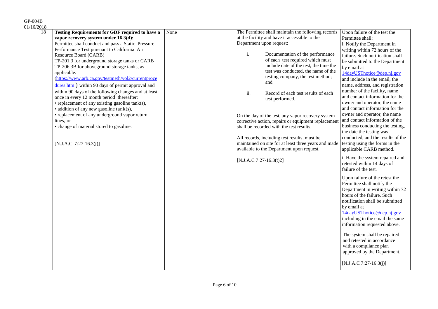| $\overline{18}$ | <b>Testing Requirements for GDF required to have a</b>                | None |                          | The Permittee shall maintain the following records   | Upon failure of the test the      |
|-----------------|-----------------------------------------------------------------------|------|--------------------------|------------------------------------------------------|-----------------------------------|
|                 | vapor recovery system under 16.3(d):                                  |      |                          | at the facility and have it accessible to the        | Permittee shall:                  |
|                 | Permittee shall conduct and pass a Static Pressure                    |      | Department upon request: |                                                      | i. Notify the Department in       |
|                 | Performance Test pursuant to California Air                           |      |                          |                                                      | writing within 72 hours of the    |
|                 | Resource Board (CARB)                                                 |      | i.                       | Documentation of the performance                     | failure. Such notification shall  |
|                 | TP-201.3 for underground storage tanks or CARB                        |      |                          | of each test required which must                     | be submitted to the Department    |
|                 | TP-206.3B for above ground storage tanks, as                          |      |                          | include date of the test, the time the               | by email at                       |
|                 | applicable.                                                           |      |                          | test was conducted, the name of the                  | 14dayUSTnotice@dep.nj.gov         |
|                 | (https://www.arb.ca.gov/testmeth/vol2/currentproce                    |      |                          | testing company, the test method;                    | and include in the email, the     |
|                 | $\frac{dures.htm}{dures.htm}$ ) within 90 days of permit approval and |      |                          | and                                                  | name, address, and registration   |
|                 | within 90 days of the following changes and at least                  |      | ii.                      | Record of each test results of each                  | number of the facility, name      |
|                 | once in every 12 month period thereafter:                             |      |                          | test performed.                                      | and contact information for the   |
|                 | • replacement of any existing gasoline tank(s),                       |      |                          |                                                      | owner and operator, the name      |
|                 | • addition of any new gasoline tank(s),                               |      |                          |                                                      | and contact information for the   |
|                 | • replacement of any underground vapor return                         |      |                          | On the day of the test, any vapor recovery system    | owner and operator, the name      |
|                 | lines, or                                                             |      |                          | corrective action, repairs or equipment replacement  | and contact information of the    |
|                 | • change of material stored to gasoline.                              |      |                          | shall be recorded with the test results.             | business conducting the testing,  |
|                 |                                                                       |      |                          |                                                      | the date the testing was          |
|                 |                                                                       |      |                          | All records, including test results, must be         | conducted, and the results of the |
|                 | [N.J.A.C 7:27-16.3(j)]                                                |      |                          | maintained on site for at least three years and made | testing using the forms in the    |
|                 |                                                                       |      |                          | available to the Department upon request.            | applicable CARB method.           |
|                 |                                                                       |      | [N.J.A.C 7:27-16.3(t)2]  |                                                      | ii Have the system repaired and   |
|                 |                                                                       |      |                          |                                                      | retested within 14 days of        |
|                 |                                                                       |      |                          |                                                      | failure of the test.              |
|                 |                                                                       |      |                          |                                                      | Upon failure of the retest the    |
|                 |                                                                       |      |                          |                                                      | Permittee shall notify the        |
|                 |                                                                       |      |                          |                                                      | Department in writing within 72   |
|                 |                                                                       |      |                          |                                                      | hours of the failure. Such        |
|                 |                                                                       |      |                          |                                                      | notification shall be submitted   |
|                 |                                                                       |      |                          |                                                      | by email at                       |
|                 |                                                                       |      |                          |                                                      | 14dayUSTnotice@dep.nj.gov         |
|                 |                                                                       |      |                          |                                                      | including in the email the same   |
|                 |                                                                       |      |                          |                                                      | information requested above.      |
|                 |                                                                       |      |                          |                                                      |                                   |
|                 |                                                                       |      |                          |                                                      | The system shall be repaired      |
|                 |                                                                       |      |                          |                                                      | and retested in accordance        |
|                 |                                                                       |      |                          |                                                      | with a compliance plan            |
|                 |                                                                       |      |                          |                                                      | approved by the Department.       |
|                 |                                                                       |      |                          |                                                      | $[N.J.A.C 7:27-16.3(j)]$          |
|                 |                                                                       |      |                          |                                                      |                                   |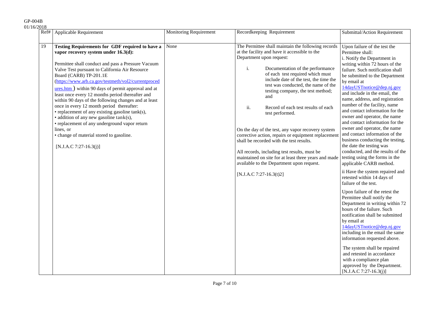| 01/16/2018 |  |  |
|------------|--|--|
|            |  |  |

| v 1 v           | Ref#   Applicable Requirement                                                                                                                                                                                                                                                                                                                                                                                                                                                                                                                                                                                                                                                                                                                  | <b>Monitoring Requirement</b> | Recordkeeping Requirement                                                                                                                                                                                                                                                                                                                                                                                                                                                                                                                                                                                                                                                                                               | Submittal/Action Requirement                                                                                                                                                                                                                                                                                                                                                                                                                                                                                                                                                                                                                                                      |
|-----------------|------------------------------------------------------------------------------------------------------------------------------------------------------------------------------------------------------------------------------------------------------------------------------------------------------------------------------------------------------------------------------------------------------------------------------------------------------------------------------------------------------------------------------------------------------------------------------------------------------------------------------------------------------------------------------------------------------------------------------------------------|-------------------------------|-------------------------------------------------------------------------------------------------------------------------------------------------------------------------------------------------------------------------------------------------------------------------------------------------------------------------------------------------------------------------------------------------------------------------------------------------------------------------------------------------------------------------------------------------------------------------------------------------------------------------------------------------------------------------------------------------------------------------|-----------------------------------------------------------------------------------------------------------------------------------------------------------------------------------------------------------------------------------------------------------------------------------------------------------------------------------------------------------------------------------------------------------------------------------------------------------------------------------------------------------------------------------------------------------------------------------------------------------------------------------------------------------------------------------|
|                 |                                                                                                                                                                                                                                                                                                                                                                                                                                                                                                                                                                                                                                                                                                                                                |                               |                                                                                                                                                                                                                                                                                                                                                                                                                                                                                                                                                                                                                                                                                                                         |                                                                                                                                                                                                                                                                                                                                                                                                                                                                                                                                                                                                                                                                                   |
| $\overline{19}$ | Testing Requirements for GDF required to have a<br>vapor recovery system under 16.3(d):<br>Permittee shall conduct and pass a Pressure Vacuum<br>Valve Test pursuant to California Air Resource<br>Board (CARB) TP-201.1E<br>(https://www.arb.ca.gov/testmeth/vol2/currentproced<br>$ures.htm$ ) within 90 days of permit approval and at<br>least once every 12 months period thereafter and<br>within 90 days of the following changes and at least<br>once in every 12 month period thereafter:<br>• replacement of any existing gasoline tank(s),<br>$\bullet$ addition of any new gasoline tank(s),<br>• replacement of any underground vapor return<br>lines, or<br>• change of material stored to gasoline.<br>$[N.J.A.C 7:27-16.3(j)]$ | None                          | The Permittee shall maintain the following records<br>at the facility and have it accessible to the<br>Department upon request:<br>i.<br>Documentation of the performance<br>of each test required which must<br>include date of the test, the time the<br>test was conducted, the name of the<br>testing company, the test method;<br>and<br>ii.<br>Record of each test results of each<br>test performed.<br>On the day of the test, any vapor recovery system<br>corrective action, repairs or equipment replacemen<br>shall be recorded with the test results.<br>All records, including test results, must be<br>maintained on site for at least three years and made<br>available to the Department upon request. | Upon failure of the test the<br>Permittee shall:<br>i. Notify the Department in<br>writing within 72 hours of the<br>failure. Such notification shall<br>be submitted to the Department<br>by email at<br>14dayUSTnotice@dep.nj.gov<br>and include in the email, the<br>name, address, and registration<br>number of the facility, name<br>and contact information for the<br>owner and operator, the name<br>and contact information for the<br>owner and operator, the name<br>and contact information of the<br>business conducting the testing,<br>the date the testing was<br>conducted, and the results of the<br>testing using the forms in the<br>applicable CARB method. |
|                 |                                                                                                                                                                                                                                                                                                                                                                                                                                                                                                                                                                                                                                                                                                                                                |                               | [N.J.A.C 7:27-16.3(t)2]                                                                                                                                                                                                                                                                                                                                                                                                                                                                                                                                                                                                                                                                                                 | ii Have the system repaired and<br>retested within 14 days of<br>failure of the test.<br>Upon failure of the retest the<br>Permittee shall notify the<br>Department in writing within 72<br>hours of the failure. Such<br>notification shall be submitted<br>by email at<br>14dayUSTnotice@dep.nj.gov<br>including in the email the same<br>information requested above.<br>The system shall be repaired<br>and retested in accordance<br>with a compliance plan<br>approved by the Department.<br>$[N.J.A.C 7:27-16.3(j)]$                                                                                                                                                       |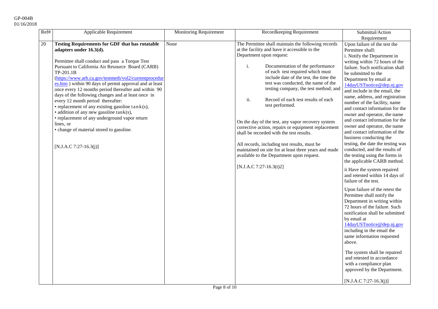| Ref# | <b>Applicable Requirement</b>                                                                                                                                                                                                                                                                                                                                                                                                                                                                                                                                                                                                                                                                                              | <b>Monitoring Requirement</b> | Recordkeeping Requirement                                                                                                                                                                                                                                                                                                                                                                                                                                                                                                                                                                                                                                                                                                                        | Submittal/Action                                                                                                                                                                                                                                                                                                                                                                                                                                                                                                                                                                                                                                                                                                                                                                                                                                                                                                                                                                                                                                                                                                                                                                        |
|------|----------------------------------------------------------------------------------------------------------------------------------------------------------------------------------------------------------------------------------------------------------------------------------------------------------------------------------------------------------------------------------------------------------------------------------------------------------------------------------------------------------------------------------------------------------------------------------------------------------------------------------------------------------------------------------------------------------------------------|-------------------------------|--------------------------------------------------------------------------------------------------------------------------------------------------------------------------------------------------------------------------------------------------------------------------------------------------------------------------------------------------------------------------------------------------------------------------------------------------------------------------------------------------------------------------------------------------------------------------------------------------------------------------------------------------------------------------------------------------------------------------------------------------|-----------------------------------------------------------------------------------------------------------------------------------------------------------------------------------------------------------------------------------------------------------------------------------------------------------------------------------------------------------------------------------------------------------------------------------------------------------------------------------------------------------------------------------------------------------------------------------------------------------------------------------------------------------------------------------------------------------------------------------------------------------------------------------------------------------------------------------------------------------------------------------------------------------------------------------------------------------------------------------------------------------------------------------------------------------------------------------------------------------------------------------------------------------------------------------------|
|      |                                                                                                                                                                                                                                                                                                                                                                                                                                                                                                                                                                                                                                                                                                                            |                               |                                                                                                                                                                                                                                                                                                                                                                                                                                                                                                                                                                                                                                                                                                                                                  | Requirement                                                                                                                                                                                                                                                                                                                                                                                                                                                                                                                                                                                                                                                                                                                                                                                                                                                                                                                                                                                                                                                                                                                                                                             |
| 20   | <b>Testing Requirements for GDF that has rotatable</b><br>adapters under 16.3(d).<br>Permittee shall conduct and pass a Torque Test<br>Pursuant to California Air Resource Board (CARB)<br>TP-201.1B<br>(https://www.arb.ca.gov/testmeth/vol2/currentprocedur<br>es.htm ) within 90 days of permit approval and at least<br>once every 12 months period thereafter and within 90<br>days of the following changes and at least once in<br>every 12 month period thereafter:<br>$\bullet$ replacement of any existing gasoline $\tan k(s)$ ,<br>• addition of any new gasoline tank(s),<br>• replacement of any underground vapor return<br>lines, or<br>• change of material stored to gasoline.<br>[N.J.A.C 7:27-16.3(j)] | None                          | The Permittee shall maintain the following records<br>at the facility and have it accessible to the<br>Department upon request:<br>i.<br>Documentation of the performance<br>of each test required which must<br>include date of the test, the time the<br>test was conducted, the name of the<br>testing company, the test method; and<br>ii.<br>Record of each test results of each<br>test performed.<br>On the day of the test, any vapor recovery system<br>corrective action, repairs or equipment replacement<br>shall be recorded with the test results.<br>All records, including test results, must be<br>maintained on site for at least three years and made<br>available to the Department upon request.<br>[N.J.A.C 7:27-16.3(t)2] | Upon failure of the test the<br>Permittee shall:<br>i. Notify the Department in<br>writing within 72 hours of the<br>failure. Such notification shall<br>be submitted to the<br>Department by email at<br>14dayUSTnotice@dep.nj.gov<br>and include in the email, the<br>name, address, and registration<br>number of the facility, name<br>and contact information for the<br>owner and operator, the name<br>and contact information for the<br>owner and operator, the name<br>and contact information of the<br>business conducting the<br>testing, the date the testing was<br>conducted, and the results of<br>the testing using the forms in<br>the applicable CARB method.<br>ii Have the system repaired<br>and retested within 14 days of<br>failure of the test.<br>Upon failure of the retest the<br>Permittee shall notify the<br>Department in writing within<br>72 hours of the failure. Such<br>notification shall be submitted<br>by email at<br>14dayUSTnotice@dep.nj.gov<br>including in the email the<br>same information requested<br>above.<br>The system shall be repaired<br>and retested in accordance<br>with a compliance plan<br>approved by the Department. |
|      |                                                                                                                                                                                                                                                                                                                                                                                                                                                                                                                                                                                                                                                                                                                            |                               |                                                                                                                                                                                                                                                                                                                                                                                                                                                                                                                                                                                                                                                                                                                                                  | $[N.J.A.C 7:27-16.3(j)]$                                                                                                                                                                                                                                                                                                                                                                                                                                                                                                                                                                                                                                                                                                                                                                                                                                                                                                                                                                                                                                                                                                                                                                |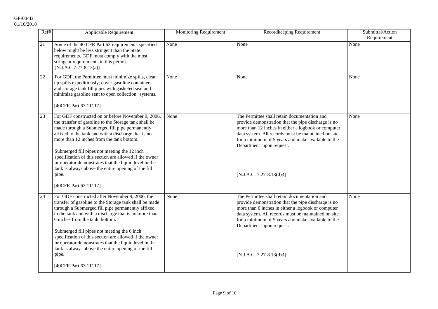| Ref#   | Applicable Requirement                                                                                                                                                                                                                                                                                                                                                                                                                                                                                                        | Monitoring Requirement | Recordkeeping Requirement                                                                                                                                                                                                                                                                                                       | Submittal/Action<br>Requirement |
|--------|-------------------------------------------------------------------------------------------------------------------------------------------------------------------------------------------------------------------------------------------------------------------------------------------------------------------------------------------------------------------------------------------------------------------------------------------------------------------------------------------------------------------------------|------------------------|---------------------------------------------------------------------------------------------------------------------------------------------------------------------------------------------------------------------------------------------------------------------------------------------------------------------------------|---------------------------------|
| 21     | Some of the 40 CFR Part 63 requirements specified<br>below might be less stringent than the State<br>requirements. GDF must comply with the most<br>stringent requirements in this permit.<br>[N.J.A.C 7:27-8.13(a)]                                                                                                                                                                                                                                                                                                          | None                   | None                                                                                                                                                                                                                                                                                                                            | None                            |
| $22\,$ | For GDF, the Permittee must minimize spills, clean<br>up spills expeditiously; cover gasoline containers<br>and storage tank fill pipes with gasketed seal and<br>minimize gasoline sent to open collection systems.<br>[40CFR Part 63.11117]                                                                                                                                                                                                                                                                                 | None                   | None                                                                                                                                                                                                                                                                                                                            | None                            |
| 23     | For GDF constructed on or before November 9, 2006,<br>the transfer of gasoline to the Storage tank shall be<br>made through a Submerged fill pipe permanently<br>affixed to the tank and with a discharge that is no<br>more than 12 inches from the tank bottom.<br>Submerged fill pipes not meeting the 12 inch<br>specification of this section are allowed if the owner<br>or operator demonstrates that the liquid level in the<br>tank is always above the entire opening of the fill<br>pipe.<br>[40CFR Part 63.11117] | None                   | The Permittee shall retain documentation and<br>provide demonstration that the pipe discharge is no<br>more than 12 inches in either a logbook or computer<br>data system. All records must be maintained on site<br>for a minimum of 5 years and make available to the<br>Department upon request.<br>[N.J.A.C. 7:27-8.13(d)3] | None                            |
| 24     | For GDF constructed after November 9, 2006, the<br>transfer of gasoline to the Storage tank shall be made<br>through a Submerged fill pipe permanently affixed<br>to the tank and with a discharge that is no more than<br>6 inches from the tank bottom.<br>Submerged fill pipes not meeting the 6 inch<br>specification of this section are allowed if the owner<br>or operator demonstrates that the liquid level in the<br>tank is always above the entire opening of the fill<br>pipe.<br>[40CFR Part 63.11117]          | None                   | The Permittee shall retain documentation and<br>provide demonstration that the pipe discharge is no<br>more than 6 inches in either a logbook or computer<br>data system. All records must be maintained on site<br>for a minimum of 5 years and make available to the<br>Department upon request.<br>[N.J.A.C. 7:27-8.13(d)3]  | None                            |